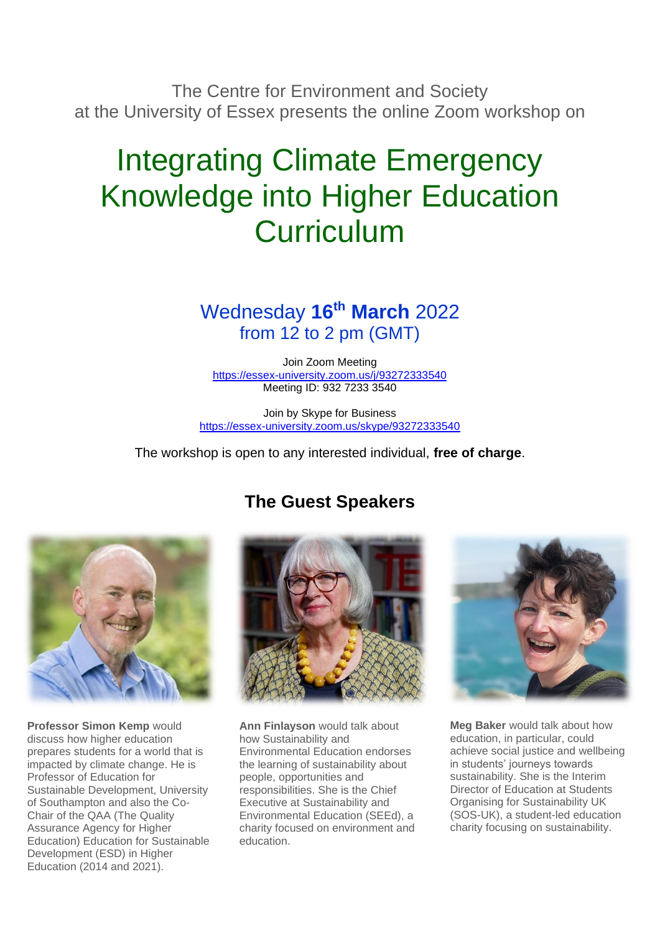The Centre for Environment and Society at the University of Essex presents the online Zoom workshop on

# Integrating Climate Emergency Knowledge into Higher Education Curriculum

## Wednesday **16th March** 2022 from 12 to 2 pm (GMT)

Join Zoom Meeting <https://essex-university.zoom.us/j/93272333540> Meeting ID: 932 7233 3540

Join by Skype for Business <https://essex-university.zoom.us/skype/93272333540>

The workshop is open to any interested individual, **free of charge**.



**Professor Simon Kemp** would discuss how higher education prepares students for a world that is impacted by climate change. He is Professor of Education for Sustainable Development, University of Southampton and also the Co-Chair of the QAA (The Quality Assurance Agency for Higher Education) Education for Sustainable Development (ESD) in Higher Education (2014 and 2021).

## **The Guest Speakers**



**Ann Finlayson** would talk about how Sustainability and Environmental Education endorses the learning of sustainability about people, opportunities and responsibilities. She is the Chief Executive at Sustainability and Environmental Education (SEEd), a charity focused on environment and education.



**Meg Baker** would talk about how education, in particular, could achieve social justice and wellbeing in students' journeys towards sustainability. She is the Interim Director of Education at Students Organising for Sustainability UK (SOS-UK), a student-led education charity focusing on sustainability.